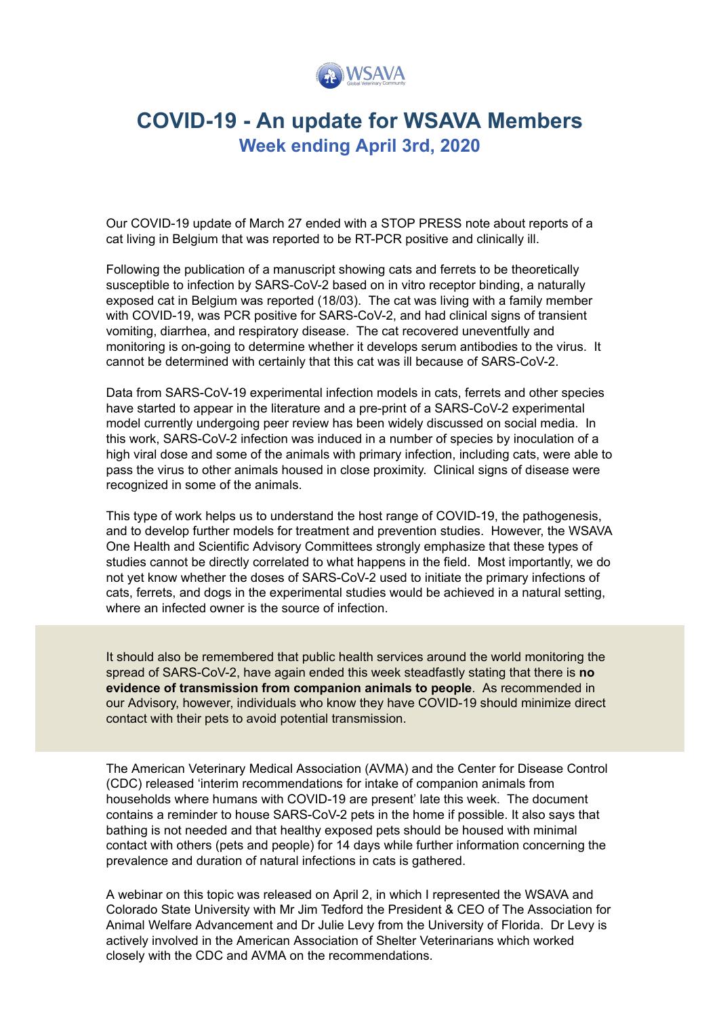

## **COVID-19 - An update for WSAVA Members Week ending April 3rd, 2020**

Our COVID-19 update of March 27 ended with a STOP PRESS note about reports of a cat living in Belgium that was reported to be RT-PCR positive and clinically ill.

Following the publication of a manuscript showing cats and ferrets to be theoretically susceptible to infection by SARS-CoV-2 based on in vitro receptor binding, a naturally exposed cat in Belgium was reported (18/03). The cat was living with a family member with COVID-19, was PCR positive for SARS-CoV-2, and had clinical signs of transient vomiting, diarrhea, and respiratory disease. The cat recovered uneventfully and monitoring is on-going to determine whether it develops serum antibodies to the virus. It cannot be determined with certainly that this cat was ill because of SARS-CoV-2.

Data from SARS-CoV-19 experimental infection models in cats, ferrets and other species have started to appear in the literature and a pre-print of a SARS-CoV-2 experimental model currently undergoing peer review has been widely discussed on social media. In this work, SARS-CoV-2 infection was induced in a number of species by inoculation of a high viral dose and some of the animals with primary infection, including cats, were able to pass the virus to other animals housed in close proximity. Clinical signs of disease were recognized in some of the animals.

This type of work helps us to understand the host range of COVID-19, the pathogenesis, and to develop further models for treatment and prevention studies. However, the WSAVA One Health and Scientific Advisory Committees strongly emphasize that these types of studies cannot be directly correlated to what happens in the field. Most importantly, we do not yet know whether the doses of SARS-CoV-2 used to initiate the primary infections of cats, ferrets, and dogs in the experimental studies would be achieved in a natural setting, where an infected owner is the source of infection.

It should also be remembered that public health services around the world monitoring the spread of SARS-CoV-2, have again ended this week steadfastly stating that there is **no evidence of transmission from companion animals to people**. As recommended in our Advisory, however, individuals who know they have COVID-19 should minimize direct contact with their pets to avoid potential transmission.

The American Veterinary Medical Association (AVMA) and the Center for Disease Control (CDC) released 'interim recommendations for intake of companion animals from households where humans with COVID-19 are present' late this week. The document contains a reminder to house SARS-CoV-2 pets in the home if possible. It also says that bathing is not needed and that healthy exposed pets should be housed with minimal contact with others (pets and people) for 14 days while further information concerning the prevalence and duration of natural infections in cats is gathered.

A webinar on this topic was released on April 2, in which I represented the WSAVA and Colorado State University with Mr Jim Tedford the President & CEO of The Association for Animal Welfare Advancement and Dr Julie Levy from the University of Florida. Dr Levy is actively involved in the American Association of Shelter Veterinarians which worked closely with the CDC and AVMA on the recommendations.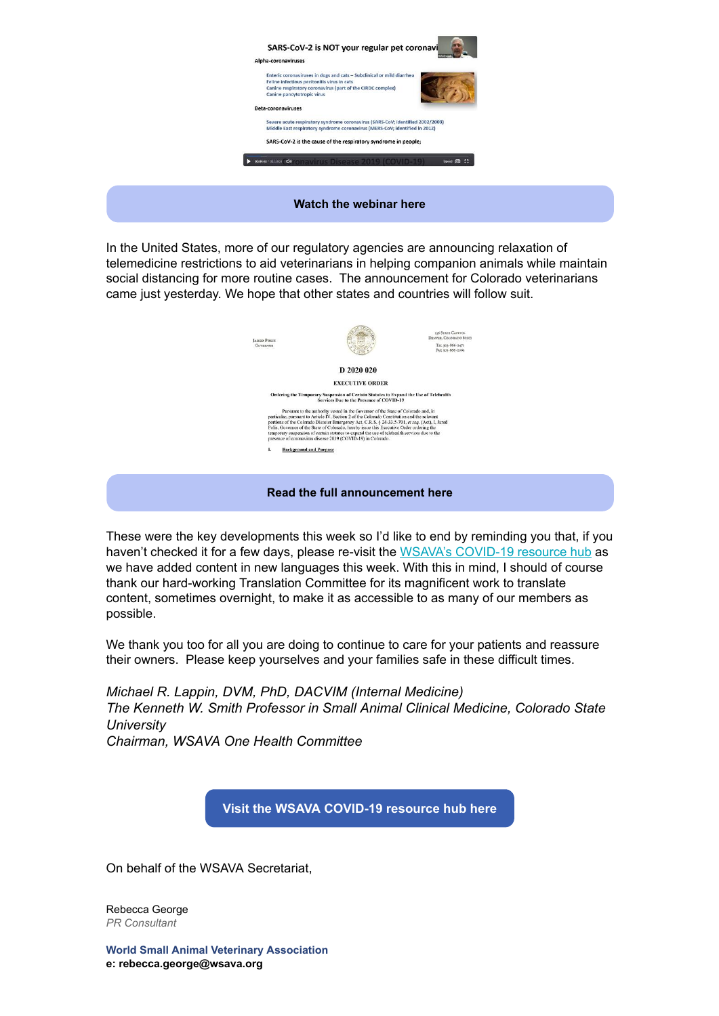

In the United States, more of our regulatory agencies are announcing relaxation of telemedicine restrictions to aid veterinarians in helping companion animals while maintain social distancing for more routine cases. The announcement for Colorado veterinarians came just yesterday. We hope that other states and countries will follow suit.



These were the key developments this week so I'd like to end by reminding you that, if you haven't checked it for a few days, please re-visit the [WSAVA's COVID-19 resource hub](https://wsava.org/news/highlighted-news/the-new-coronavirus-and-companion-animals-advice-for-wsava-members/?utm_source=hs_email&utm_medium=email&_hsenc=p2ANqtz-9cYeswWW8V2L3h5ZpJuFx6TFwLyjRgulWwY5vbpmDHyicBjW5FiA1JyN4yXTO7x2U3hijL) as we have added content in new languages this week. With this in mind, I should of course thank our hard-working Translation Committee for its magnificent work to translate content, sometimes overnight, to make it as accessible to as many of our members as possible.

We thank you too for all you are doing to continue to care for your patients and reassure their owners. Please keep yourselves and your families safe in these difficult times.

*Michael R. Lappin, DVM, PhD, DACVIM (Internal Medicine) The Kenneth W. Smith Professor in Small Animal Clinical Medicine, Colorado State University Chairman, WSAVA One Health Committee*

**[Visit the WSAVA COVID-19 resource hub here](http://bit.ly/wsava-covid19?utm_source=hs_email&utm_medium=email&_hsenc=p2ANqtz-9cYeswWW8V2L3h5ZpJuFx6TFwLyjRgulWwY5vbpmDHyicBjW5FiA1JyN4yXTO7x2U3hijL)**

On behalf of the WSAVA Secretariat,

Rebecca George *PR Consultant*

**World Small Animal Veterinary Association e: rebecca.george@wsava.org**